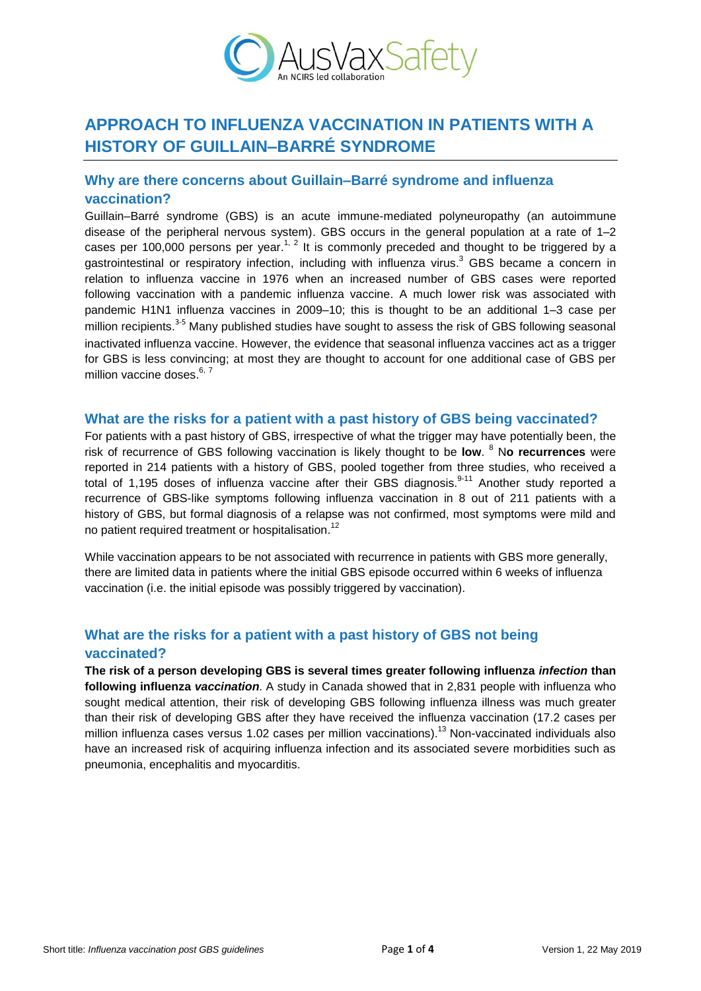

# **APPROACH TO INFLUENZA VACCINATION IN PATIENTS WITH A HISTORY OF GUILLAIN–BARRÉ SYNDROME**

### **Why are there concerns about Guillain–Barré syndrome and influenza vaccination?**

Guillain–Barré syndrome (GBS) is an acute immune-mediated polyneuropathy (an autoimmune disease of the peripheral nervous system). GBS occurs in the general population at a rate of 1–2 cases per 100,000 persons per year.<sup>1, 2</sup> It is commonly preceded and thought to be triggered by a gastrointestinal or respiratory infection, including with influenza virus.<sup>3</sup> GBS became a concern in relation to influenza vaccine in 1976 when an increased number of GBS cases were reported following vaccination with a pandemic influenza vaccine. A much lower risk was associated with pandemic H1N1 influenza vaccines in 2009–10; this is thought to be an additional 1–3 case per million recipients.<sup>3-5</sup> Many published studies have sought to assess the risk of GBS following seasonal inactivated influenza vaccine. However, the evidence that seasonal influenza vaccines act as a trigger for GBS is less convincing; at most they are thought to account for one additional case of GBS per million vaccine doses.<sup>6, 7</sup>

#### **What are the risks for a patient with a past history of GBS being vaccinated?**

For patients with a past history of GBS, irrespective of what the trigger may have potentially been, the risk of recurrence of GBS following vaccination is likely thought to be **low**. <sup>8</sup> N**o recurrences** were reported in 214 patients with a history of GBS, pooled together from three studies, who received a total of 1,195 doses of influenza vaccine after their GBS diagnosis.<sup>9-11</sup> Another study reported a recurrence of GBS-like symptoms following influenza vaccination in 8 out of 211 patients with a history of GBS, but formal diagnosis of a relapse was not confirmed, most symptoms were mild and no patient required treatment or hospitalisation.<sup>12</sup>

While vaccination appears to be not associated with recurrence in patients with GBS more generally, there are limited data in patients where the initial GBS episode occurred within 6 weeks of influenza vaccination (i.e. the initial episode was possibly triggered by vaccination).

#### **What are the risks for a patient with a past history of GBS not being vaccinated?**

**The risk of a person developing GBS is several times greater following influenza** *infection* **than following influenza** *vaccination.* A study in Canada showed that in 2,831 people with influenza who sought medical attention, their risk of developing GBS following influenza illness was much greater than their risk of developing GBS after they have received the influenza vaccination (17.2 cases per million influenza cases versus 1.02 cases per million vaccinations).<sup>13</sup> Non-vaccinated individuals also have an increased risk of acquiring influenza infection and its associated severe morbidities such as pneumonia, encephalitis and myocarditis.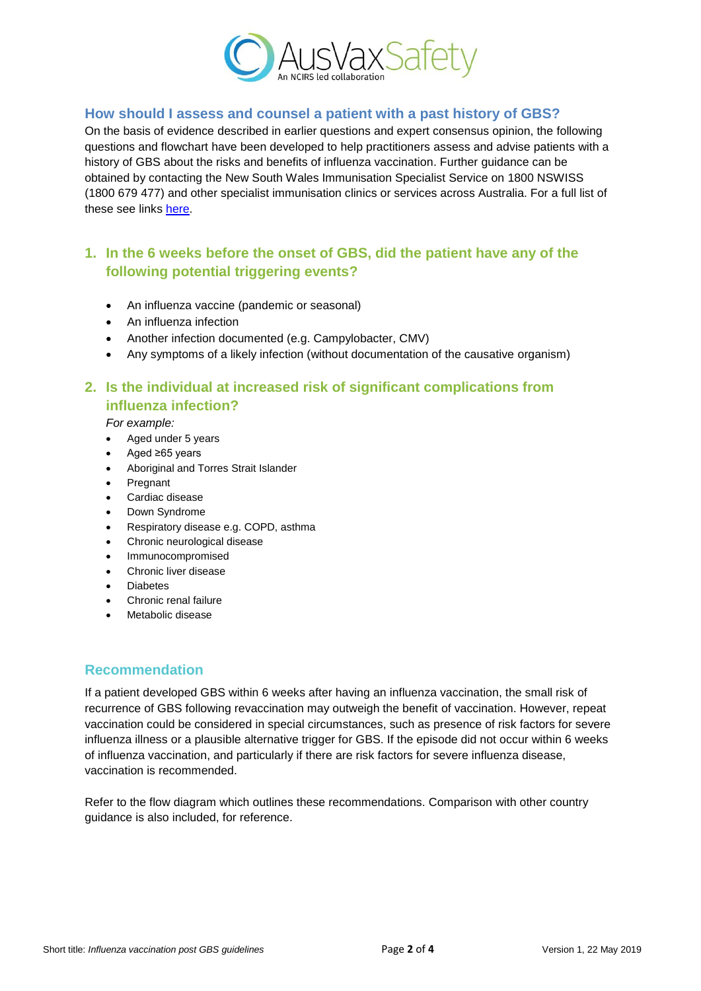

#### **How should I assess and counsel a patient with a past history of GBS?**

On the basis of evidence described in earlier questions and expert consensus opinion, the following questions and flowchart have been developed to help practitioners assess and advise patients with a history of GBS about the risks and benefits of influenza vaccination. Further guidance can be obtained by contacting the New South Wales Immunisation Specialist Service on 1800 NSWISS (1800 679 477) and other specialist immunisation clinics or services across Australia. For a full list of these see links [here.](http://www.ncirs.org.au/health-professionals/specialist-immunisation-services)

## **1. In the 6 weeks before the onset of GBS, did the patient have any of the following potential triggering events?**

- An influenza vaccine (pandemic or seasonal)
- An influenza infection
- Another infection documented (e.g. Campylobacter, CMV)
- Any symptoms of a likely infection (without documentation of the causative organism)

## **2. Is the individual at increased risk of significant complications from influenza infection?**

*For example:*

- Aged under 5 years
- Aged ≥65 years
- Aboriginal and Torres Strait Islander
- Pregnant
- Cardiac disease
- Down Syndrome
- Respiratory disease e.g. COPD, asthma
- Chronic neurological disease
- Immunocompromised
- Chronic liver disease
- Diabetes
- Chronic renal failure
- Metabolic disease

#### **Recommendation**

If a patient developed GBS within 6 weeks after having an influenza vaccination, the small risk of recurrence of GBS following revaccination may outweigh the benefit of vaccination. However, repeat vaccination could be considered in special circumstances, such as presence of risk factors for severe influenza illness or a plausible alternative trigger for GBS. If the episode did not occur within 6 weeks of influenza vaccination, and particularly if there are risk factors for severe influenza disease, vaccination is recommended.

Refer to the flow diagram which outlines these recommendations. Comparison with other country guidance is also included, for reference.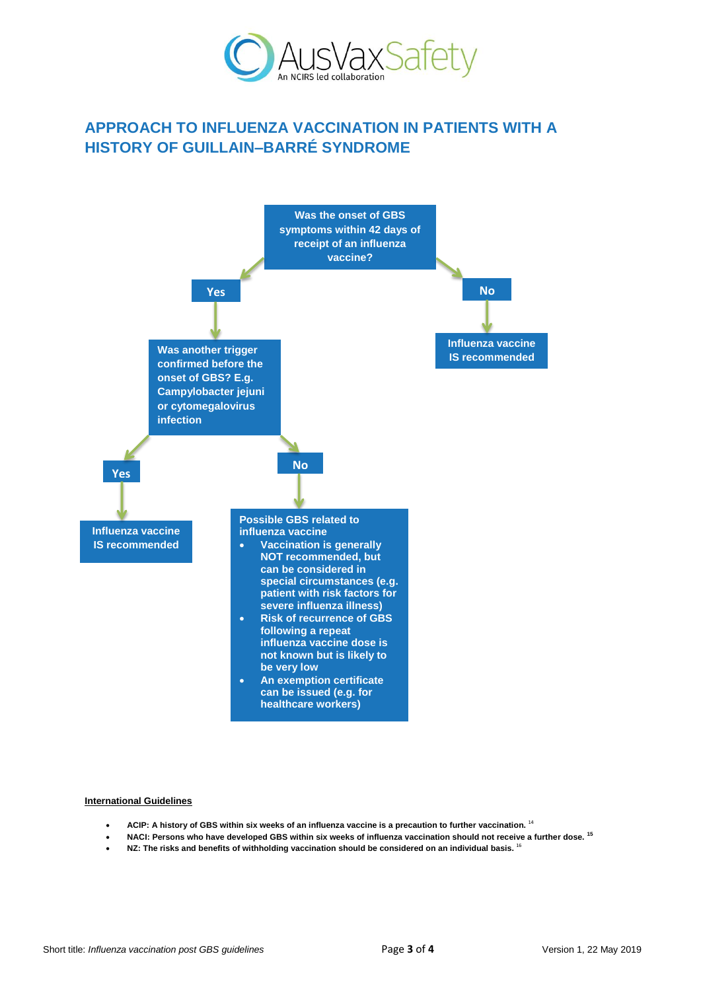

# **APPROACH TO INFLUENZA VACCINATION IN PATIENTS WITH A HISTORY OF GUILLAIN–BARRÉ SYNDROME**



#### **International Guidelines**

- **ACIP: A history of GBS within six weeks of an influenza vaccine is a precaution to further vaccination.** <sup>14</sup>
- **NACI: Persons who have developed GBS within six weeks of influenza vaccination should not receive a further dose. <sup>15</sup>**
- **NZ: The risks and benefits of withholding vaccination should be considered on an individual basis.** <sup>16</sup>